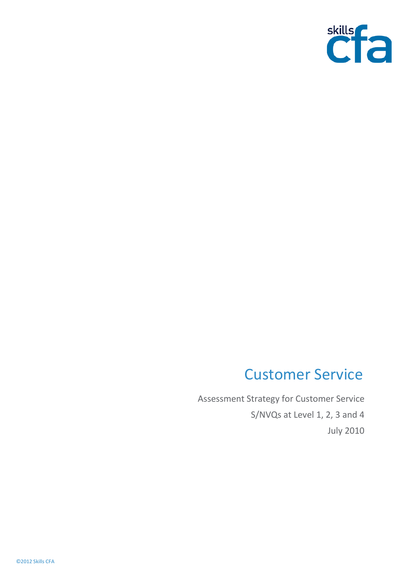

# Customer Service

Assessment Strategy for Customer Service S/NVQs at Level 1, 2, 3 and 4 July 2010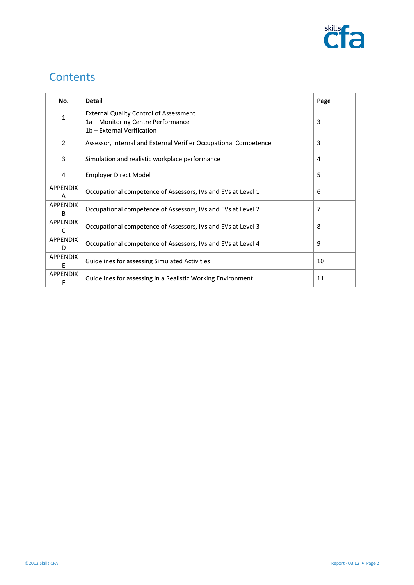

## **Contents**

| No.                             | <b>Detail</b>                                                    | Page           |
|---------------------------------|------------------------------------------------------------------|----------------|
| 1                               | <b>External Quality Control of Assessment</b>                    |                |
|                                 | 1a – Monitoring Centre Performance                               | 3              |
|                                 | 1b - External Verification                                       |                |
| 2                               | Assessor, Internal and External Verifier Occupational Competence | 3              |
| 3                               | Simulation and realistic workplace performance                   | 4              |
| 4                               | Employer Direct Model                                            | 5              |
| <b>APPENDIX</b><br>A            | Occupational competence of Assessors, IVs and EVs at Level 1     | 6              |
| <b>APPENDIX</b><br><sub>R</sub> | Occupational competence of Assessors, IVs and EVs at Level 2     | $\overline{7}$ |
| <b>APPENDIX</b>                 |                                                                  |                |
| C                               | Occupational competence of Assessors, IVs and EVs at Level 3     | 8              |
| <b>APPENDIX</b>                 | Occupational competence of Assessors, IVs and EVs at Level 4     | q              |
| D                               |                                                                  |                |
| <b>APPENDIX</b>                 | Guidelines for assessing Simulated Activities                    | 10             |
| F                               |                                                                  |                |
| <b>APPENDIX</b>                 | Guidelines for assessing in a Realistic Working Environment      | 11             |
| F                               |                                                                  |                |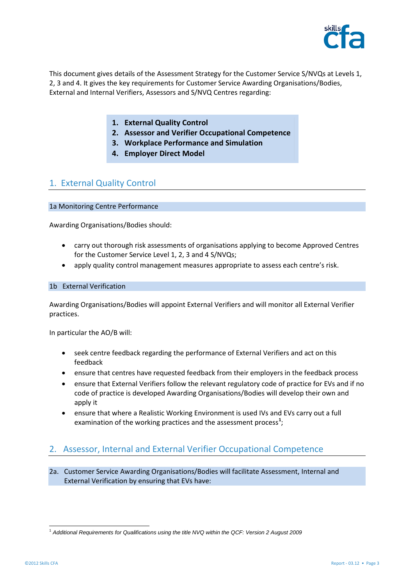

This document gives details of the Assessment Strategy for the Customer Service S/NVQs at Levels 1, 2, 3 and 4. It gives the key requirements for Customer Service Awarding Organisations/Bodies, External and Internal Verifiers, Assessors and S/NVQ Centres regarding:

- **1. External Quality Control**
- **2. Assessor and Verifier Occupational Competence**
- **3. Workplace Performance and Simulation**
- **4. Employer Direct Model**

## 1. External Quality Control

#### 1a Monitoring Centre Performance

Awarding Organisations/Bodies should:

- carry out thorough risk assessments of organisations applying to become Approved Centres for the Customer Service Level 1, 2, 3 and 4 S/NVQs;
- apply quality control management measures appropriate to assess each centre's risk.

#### 1b External Verification

Awarding Organisations/Bodies will appoint External Verifiers and will monitor all External Verifier practices.

In particular the AO/B will:

- seek centre feedback regarding the performance of External Verifiers and act on this feedback
- ensure that centres have requested feedback from their employers in the feedback process
- ensure that External Verifiers follow the relevant regulatory code of practice for EVs and if no code of practice is developed Awarding Organisations/Bodies will develop their own and apply it
- ensure that where a Realistic Working Environment is used IVs and EVs carry out a full examination of the working practices and the assessment process<sup>[1](#page-2-0)</sup>;

## 2. Assessor, Internal and External Verifier Occupational Competence

2a. Customer Service Awarding Organisations/Bodies will facilitate Assessment, Internal and External Verification by ensuring that EVs have:

<span id="page-2-0"></span><sup>1</sup> *Additional Requirements for Qualifications using the title NVQ within the QCF: Version 2 August 2009*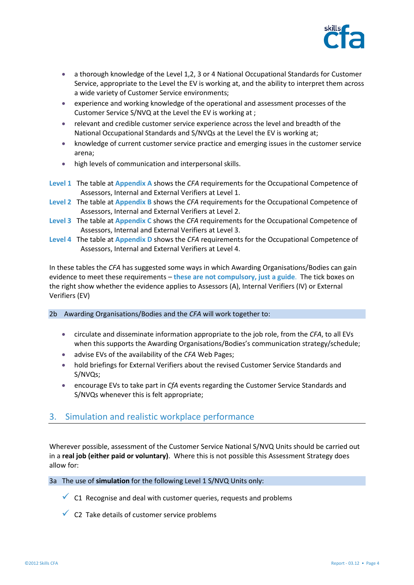

- a thorough knowledge of the Level 1,2, 3 or 4 National Occupational Standards for Customer Service, appropriate to the Level the EV is working at, and the ability to interpret them across a wide variety of Customer Service environments;
- experience and working knowledge of the operational and assessment processes of the Customer Service S/NVQ at the Level the EV is working at ;
- relevant and credible customer service experience across the level and breadth of the National Occupational Standards and S/NVQs at the Level the EV is working at;
- knowledge of current customer service practice and emerging issues in the customer service arena;
- high levels of communication and interpersonal skills.
- **Level 1** The table at **Appendix A** shows the *CFA* requirements for the Occupational Competence of Assessors, Internal and External Verifiers at Level 1.
- **Level 2** The table at **Appendix B** shows the *CFA* requirements for the Occupational Competence of Assessors, Internal and External Verifiers at Level 2.
- **Level 3** The table at **Appendix C** shows the *CFA* requirements for the Occupational Competence of Assessors, Internal and External Verifiers at Level 3.
- **Level 4** The table at **Appendix D** shows the *CFA* requirements for the Occupational Competence of Assessors, Internal and External Verifiers at Level 4.

In these tables the *CFA* has suggested some ways in which Awarding Organisations/Bodies can gain evidence to meet these requirements – **these are not compulsory, just a guide**. The tick boxes on the right show whether the evidence applies to Assessors (A), Internal Verifiers (IV) or External Verifiers (EV)

- 2b Awarding Organisations/Bodies and the *CFA* will work together to:
	- circulate and disseminate information appropriate to the job role, from the *CFA*, to all EVs when this supports the Awarding Organisations/Bodies's communication strategy/schedule;
	- advise EVs of the availability of the *CFA* Web Pages;
	- hold briefings for External Verifiers about the revised Customer Service Standards and S/NVQs;
	- encourage EVs to take part in *CfA* events regarding the Customer Service Standards and S/NVQs whenever this is felt appropriate;

## 3. Simulation and realistic workplace performance

Wherever possible, assessment of the Customer Service National S/NVQ Units should be carried out in a **real job (either paid or voluntary)**. Where this is not possible this Assessment Strategy does allow for:

3a The use of **simulation** for the following Level 1 S/NVQ Units only:

- $\checkmark$  C1 Recognise and deal with customer queries, requests and problems
- $\checkmark$  C2 Take details of customer service problems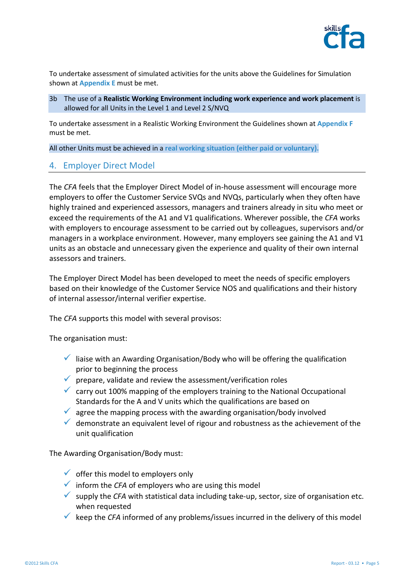

To undertake assessment of simulated activities for the units above the Guidelines for Simulation shown at **Appendix E** must be met.

3b The use of a **Realistic Working Environment including work experience and work placement** is allowed for all Units in the Level 1 and Level 2 S/NVQ

To undertake assessment in a Realistic Working Environment the Guidelines shown at **Appendix F** must be met.

All other Units must be achieved in a **real working situation (either paid or voluntary).**

## 4. Employer Direct Model

The *CFA* feels that the Employer Direct Model of in-house assessment will encourage more employers to offer the Customer Service SVQs and NVQs, particularly when they often have highly trained and experienced assessors, managers and trainers already in situ who meet or exceed the requirements of the A1 and V1 qualifications. Wherever possible, the *CFA* works with employers to encourage assessment to be carried out by colleagues, supervisors and/or managers in a workplace environment. However, many employers see gaining the A1 and V1 units as an obstacle and unnecessary given the experience and quality of their own internal assessors and trainers.

The Employer Direct Model has been developed to meet the needs of specific employers based on their knowledge of the Customer Service NOS and qualifications and their history of internal assessor/internal verifier expertise.

The *CFA* supports this model with several provisos:

The organisation must:

- $\checkmark$  liaise with an Awarding Organisation/Body who will be offering the qualification prior to beginning the process
- $\checkmark$  prepare, validate and review the assessment/verification roles
- $\checkmark$  carry out 100% mapping of the employers training to the National Occupational Standards for the A and V units which the qualifications are based on
- $\checkmark$  agree the mapping process with the awarding organisation/body involved
- $\checkmark$  demonstrate an equivalent level of rigour and robustness as the achievement of the unit qualification

The Awarding Organisation/Body must:

- $\checkmark$  offer this model to employers only
- $\checkmark$  inform the *CFA* of employers who are using this model
- supply the *CFA* with statistical data including take-up, sector, size of organisation etc. when requested
- $\checkmark$  keep the *CFA* informed of any problems/issues incurred in the delivery of this model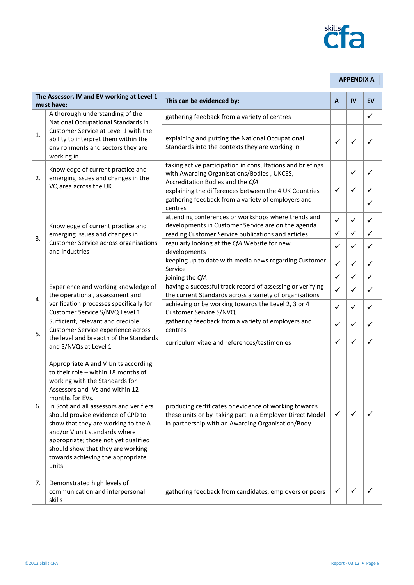

#### **APPENDIX A**

| The Assessor, IV and EV working at Level 1<br>must have: |                                                                                                                                                                                                                                                                                                                                                                                                                                                        | This can be evidenced by:                                                                                                                                              | $\mathbf{A}$ | IV           | EV           |
|----------------------------------------------------------|--------------------------------------------------------------------------------------------------------------------------------------------------------------------------------------------------------------------------------------------------------------------------------------------------------------------------------------------------------------------------------------------------------------------------------------------------------|------------------------------------------------------------------------------------------------------------------------------------------------------------------------|--------------|--------------|--------------|
|                                                          | A thorough understanding of the<br>National Occupational Standards in                                                                                                                                                                                                                                                                                                                                                                                  | gathering feedback from a variety of centres                                                                                                                           |              |              | $\checkmark$ |
| 1.                                                       | Customer Service at Level 1 with the<br>ability to interpret them within the<br>environments and sectors they are<br>working in                                                                                                                                                                                                                                                                                                                        | explaining and putting the National Occupational<br>Standards into the contexts they are working in                                                                    | ✓            | ✓            | ✓            |
| 2.                                                       | Knowledge of current practice and<br>emerging issues and changes in the<br>VQ area across the UK                                                                                                                                                                                                                                                                                                                                                       | taking active participation in consultations and briefings<br>with Awarding Organisations/Bodies, UKCES,<br>Accreditation Bodies and the CfA                           |              | ✓            | ✓            |
|                                                          |                                                                                                                                                                                                                                                                                                                                                                                                                                                        | explaining the differences between the 4 UK Countries<br>gathering feedback from a variety of employers and                                                            | $\checkmark$ | $\checkmark$ | $\checkmark$ |
| 3.                                                       |                                                                                                                                                                                                                                                                                                                                                                                                                                                        | centres                                                                                                                                                                |              |              | ✓            |
|                                                          | Knowledge of current practice and                                                                                                                                                                                                                                                                                                                                                                                                                      | attending conferences or workshops where trends and<br>developments in Customer Service are on the agenda                                                              | $\checkmark$ | ✓            | ✓            |
|                                                          | emerging issues and changes in                                                                                                                                                                                                                                                                                                                                                                                                                         | reading Customer Service publications and articles                                                                                                                     | $\checkmark$ | $\checkmark$ | $\checkmark$ |
|                                                          | <b>Customer Service across organisations</b><br>and industries                                                                                                                                                                                                                                                                                                                                                                                         | regularly looking at the CfA Website for new<br>developments                                                                                                           | ✓            | $\checkmark$ | $\checkmark$ |
|                                                          |                                                                                                                                                                                                                                                                                                                                                                                                                                                        | keeping up to date with media news regarding Customer<br>Service                                                                                                       | $\checkmark$ | $\checkmark$ | $\checkmark$ |
|                                                          |                                                                                                                                                                                                                                                                                                                                                                                                                                                        | joining the CfA                                                                                                                                                        | $\checkmark$ | $\checkmark$ | ✓            |
|                                                          | Experience and working knowledge of<br>the operational, assessment and<br>verification processes specifically for<br>Customer Service S/NVQ Level 1                                                                                                                                                                                                                                                                                                    | having a successful track record of assessing or verifying<br>the current Standards across a variety of organisations                                                  | ✓            | $\checkmark$ | ✓            |
| 4.                                                       |                                                                                                                                                                                                                                                                                                                                                                                                                                                        | achieving or be working towards the Level 2, 3 or 4<br>Customer Service S/NVQ                                                                                          | $\checkmark$ | $\checkmark$ | $\checkmark$ |
|                                                          | Sufficient, relevant and credible<br>Customer Service experience across<br>the level and breadth of the Standards<br>and S/NVQs at Level 1                                                                                                                                                                                                                                                                                                             | gathering feedback from a variety of employers and<br>centres                                                                                                          | ✓            | ✓            | ✓            |
| 5.                                                       |                                                                                                                                                                                                                                                                                                                                                                                                                                                        | curriculum vitae and references/testimonies                                                                                                                            | ✓            | ✓            | $\checkmark$ |
| 6.                                                       | Appropriate A and V Units according<br>to their role - within 18 months of<br>working with the Standards for<br>Assessors and IVs and within 12<br>months for EVs.<br>In Scotland all assessors and verifiers<br>should provide evidence of CPD to<br>show that they are working to the A<br>and/or V unit standards where<br>appropriate; those not yet qualified<br>should show that they are working<br>towards achieving the appropriate<br>units. | producing certificates or evidence of working towards<br>these units or by taking part in a Employer Direct Model<br>in partnership with an Awarding Organisation/Body | ✓            | ✓            |              |
| 7.                                                       | Demonstrated high levels of<br>communication and interpersonal<br>skills                                                                                                                                                                                                                                                                                                                                                                               | gathering feedback from candidates, employers or peers                                                                                                                 | ✓            | ✓            |              |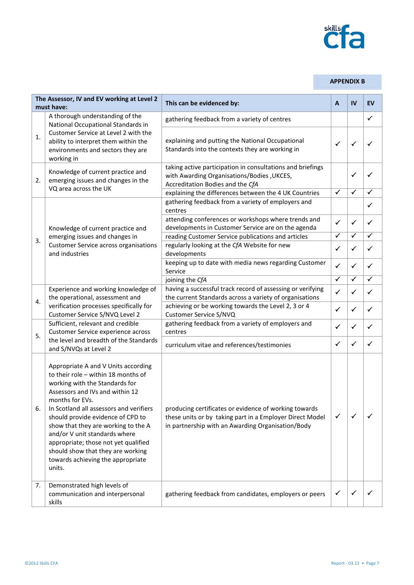

## **APPENDIX B**

| The Assessor, IV and EV working at Level 2<br>must have: |                                                                                                                                                                                                                                                                                                                                                                                                                                                        | This can be evidenced by:                                                                                                                                              | A            | <b>IV</b>    | EV           |
|----------------------------------------------------------|--------------------------------------------------------------------------------------------------------------------------------------------------------------------------------------------------------------------------------------------------------------------------------------------------------------------------------------------------------------------------------------------------------------------------------------------------------|------------------------------------------------------------------------------------------------------------------------------------------------------------------------|--------------|--------------|--------------|
|                                                          | A thorough understanding of the<br>National Occupational Standards in                                                                                                                                                                                                                                                                                                                                                                                  | gathering feedback from a variety of centres                                                                                                                           |              |              | $\checkmark$ |
| 1.                                                       | Customer Service at Level 2 with the<br>ability to interpret them within the<br>environments and sectors they are<br>working in                                                                                                                                                                                                                                                                                                                        | explaining and putting the National Occupational<br>Standards into the contexts they are working in                                                                    | $\checkmark$ | ✓            | ✓            |
| 2.                                                       | Knowledge of current practice and<br>emerging issues and changes in the<br>VQ area across the UK                                                                                                                                                                                                                                                                                                                                                       | taking active participation in consultations and briefings<br>with Awarding Organisations/Bodies, UKCES,<br>Accreditation Bodies and the CfA                           |              | ✓            | ✓            |
|                                                          |                                                                                                                                                                                                                                                                                                                                                                                                                                                        | explaining the differences between the 4 UK Countries                                                                                                                  | $\checkmark$ | $\checkmark$ | ✓            |
|                                                          |                                                                                                                                                                                                                                                                                                                                                                                                                                                        | gathering feedback from a variety of employers and<br>centres                                                                                                          |              |              | ✓            |
|                                                          | Knowledge of current practice and                                                                                                                                                                                                                                                                                                                                                                                                                      | attending conferences or workshops where trends and<br>developments in Customer Service are on the agenda                                                              | $\checkmark$ | ✓            | ✓            |
|                                                          | emerging issues and changes in                                                                                                                                                                                                                                                                                                                                                                                                                         | reading Customer Service publications and articles                                                                                                                     | $\checkmark$ | $\checkmark$ | $\checkmark$ |
| 3.                                                       | <b>Customer Service across organisations</b><br>and industries                                                                                                                                                                                                                                                                                                                                                                                         | regularly looking at the CfA Website for new<br>developments                                                                                                           | $\checkmark$ | ✓            | ✓            |
|                                                          |                                                                                                                                                                                                                                                                                                                                                                                                                                                        | keeping up to date with media news regarding Customer<br>Service                                                                                                       | $\checkmark$ | ✓            | $\checkmark$ |
|                                                          |                                                                                                                                                                                                                                                                                                                                                                                                                                                        | joining the CfA                                                                                                                                                        | $\checkmark$ | ✓            | $\checkmark$ |
| 4.                                                       | Experience and working knowledge of<br>the operational, assessment and<br>verification processes specifically for<br>Customer Service S/NVQ Level 2                                                                                                                                                                                                                                                                                                    | having a successful track record of assessing or verifying<br>the current Standards across a variety of organisations                                                  | ✓            | ✓            | ✓            |
|                                                          |                                                                                                                                                                                                                                                                                                                                                                                                                                                        | achieving or be working towards the Level 2, 3 or 4<br>Customer Service S/NVQ                                                                                          | $\checkmark$ | ✓            | ✓            |
|                                                          | Sufficient, relevant and credible<br>Customer Service experience across<br>the level and breadth of the Standards<br>and S/NVQs at Level 2                                                                                                                                                                                                                                                                                                             | gathering feedback from a variety of employers and<br>centres                                                                                                          | ✓            | ✓            | ✓            |
| 5.                                                       |                                                                                                                                                                                                                                                                                                                                                                                                                                                        | curriculum vitae and references/testimonies                                                                                                                            | $\checkmark$ | ✓            | ✓            |
| 6.                                                       | Appropriate A and V Units according<br>to their role - within 18 months of<br>working with the Standards for<br>Assessors and IVs and within 12<br>months for EVs.<br>In Scotland all assessors and verifiers<br>should provide evidence of CPD to<br>show that they are working to the A<br>and/or V unit standards where<br>appropriate; those not yet qualified<br>should show that they are working<br>towards achieving the appropriate<br>units. | producing certificates or evidence of working towards<br>these units or by taking part in a Employer Direct Model<br>in partnership with an Awarding Organisation/Body | ✓            | ✓            |              |
| 7.                                                       | Demonstrated high levels of<br>communication and interpersonal<br>skills                                                                                                                                                                                                                                                                                                                                                                               | gathering feedback from candidates, employers or peers                                                                                                                 | ✓            |              |              |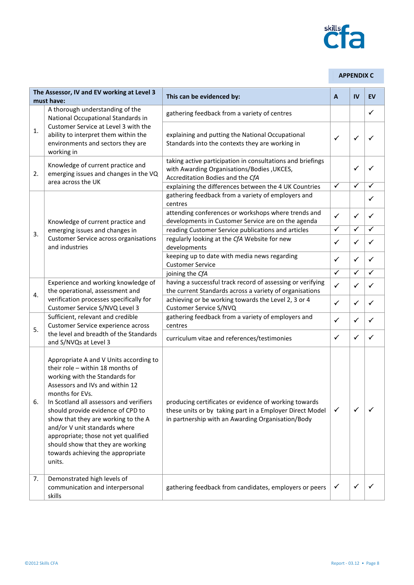

#### **APPENDIX C**

| The Assessor, IV and EV working at Level 3<br>must have: |                                                                                                                                                                                                                                                                                                                                                                                                                                                        | This can be evidenced by:                                                                                                                                              | A            | IV           | <b>EV</b>    |
|----------------------------------------------------------|--------------------------------------------------------------------------------------------------------------------------------------------------------------------------------------------------------------------------------------------------------------------------------------------------------------------------------------------------------------------------------------------------------------------------------------------------------|------------------------------------------------------------------------------------------------------------------------------------------------------------------------|--------------|--------------|--------------|
|                                                          | A thorough understanding of the<br>National Occupational Standards in                                                                                                                                                                                                                                                                                                                                                                                  | gathering feedback from a variety of centres                                                                                                                           |              |              | $\checkmark$ |
| 1.                                                       | Customer Service at Level 3 with the<br>ability to interpret them within the<br>environments and sectors they are<br>working in                                                                                                                                                                                                                                                                                                                        | explaining and putting the National Occupational<br>Standards into the contexts they are working in                                                                    | ✓            | $\checkmark$ | ✓            |
| 2.                                                       | Knowledge of current practice and<br>emerging issues and changes in the VQ<br>area across the UK                                                                                                                                                                                                                                                                                                                                                       | taking active participation in consultations and briefings<br>with Awarding Organisations/Bodies, UKCES,<br>Accreditation Bodies and the CfA                           |              | ✓            |              |
|                                                          |                                                                                                                                                                                                                                                                                                                                                                                                                                                        | explaining the differences between the 4 UK Countries                                                                                                                  | $\checkmark$ | $\checkmark$ | ✓            |
|                                                          |                                                                                                                                                                                                                                                                                                                                                                                                                                                        | gathering feedback from a variety of employers and<br>centres                                                                                                          |              |              | ✓            |
|                                                          | Knowledge of current practice and                                                                                                                                                                                                                                                                                                                                                                                                                      | attending conferences or workshops where trends and<br>developments in Customer Service are on the agenda                                                              | $\checkmark$ | $\checkmark$ | ✓            |
| 3.                                                       | emerging issues and changes in                                                                                                                                                                                                                                                                                                                                                                                                                         | reading Customer Service publications and articles                                                                                                                     | $\checkmark$ | ✓            | ✓            |
|                                                          | <b>Customer Service across organisations</b><br>and industries                                                                                                                                                                                                                                                                                                                                                                                         | regularly looking at the CfA Website for new<br>developments                                                                                                           | ✓            | $\checkmark$ | ✓            |
|                                                          |                                                                                                                                                                                                                                                                                                                                                                                                                                                        | keeping up to date with media news regarding<br><b>Customer Service</b>                                                                                                | $\checkmark$ | $\checkmark$ | ✓            |
|                                                          |                                                                                                                                                                                                                                                                                                                                                                                                                                                        | joining the CfA                                                                                                                                                        | $\checkmark$ | ✓            | ✓            |
| 4.                                                       | Experience and working knowledge of<br>the operational, assessment and<br>verification processes specifically for<br>Customer Service S/NVQ Level 3                                                                                                                                                                                                                                                                                                    | having a successful track record of assessing or verifying<br>the current Standards across a variety of organisations                                                  | $\checkmark$ | $\checkmark$ | ✓            |
|                                                          |                                                                                                                                                                                                                                                                                                                                                                                                                                                        | achieving or be working towards the Level 2, 3 or 4<br>Customer Service S/NVQ                                                                                          | $\checkmark$ | $\checkmark$ | ✓            |
|                                                          | Sufficient, relevant and credible<br>Customer Service experience across<br>the level and breadth of the Standards<br>and S/NVQs at Level 3                                                                                                                                                                                                                                                                                                             | gathering feedback from a variety of employers and<br>centres                                                                                                          | ✓            | $\checkmark$ | ✓            |
| 5.                                                       |                                                                                                                                                                                                                                                                                                                                                                                                                                                        | curriculum vitae and references/testimonies                                                                                                                            | ✓            | ✓            | ✓            |
| 6.                                                       | Appropriate A and V Units according to<br>their role - within 18 months of<br>working with the Standards for<br>Assessors and IVs and within 12<br>months for EVs.<br>In Scotland all assessors and verifiers<br>should provide evidence of CPD to<br>show that they are working to the A<br>and/or V unit standards where<br>appropriate; those not yet qualified<br>should show that they are working<br>towards achieving the appropriate<br>units. | producing certificates or evidence of working towards<br>these units or by taking part in a Employer Direct Model<br>in partnership with an Awarding Organisation/Body | ✓            | ✓            |              |
| 7.                                                       | Demonstrated high levels of<br>communication and interpersonal<br>skills                                                                                                                                                                                                                                                                                                                                                                               | gathering feedback from candidates, employers or peers                                                                                                                 | ✓            | $\checkmark$ |              |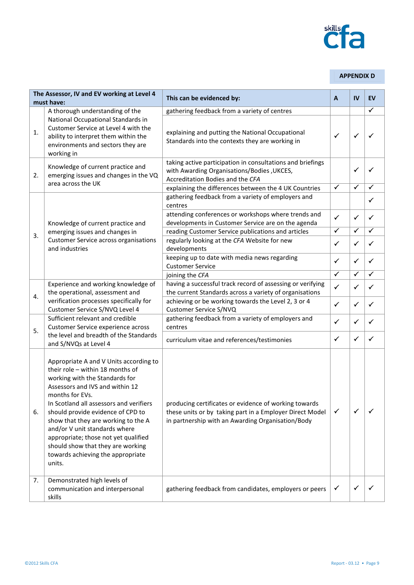

#### **APPENDIX D**

| The Assessor, IV and EV working at Level 4<br>must have: |                                                                                                                                                                                                                                                                                                                                                                                                                                                        | This can be evidenced by:                                                                                                                                              | A                                                                                                                                                                                                                                    | IV | EV           |
|----------------------------------------------------------|--------------------------------------------------------------------------------------------------------------------------------------------------------------------------------------------------------------------------------------------------------------------------------------------------------------------------------------------------------------------------------------------------------------------------------------------------------|------------------------------------------------------------------------------------------------------------------------------------------------------------------------|--------------------------------------------------------------------------------------------------------------------------------------------------------------------------------------------------------------------------------------|----|--------------|
|                                                          | A thorough understanding of the                                                                                                                                                                                                                                                                                                                                                                                                                        | gathering feedback from a variety of centres                                                                                                                           |                                                                                                                                                                                                                                      |    | $\checkmark$ |
| 1.                                                       | National Occupational Standards in<br>Customer Service at Level 4 with the<br>ability to interpret them within the<br>environments and sectors they are<br>working in                                                                                                                                                                                                                                                                                  | explaining and putting the National Occupational<br>Standards into the contexts they are working in                                                                    | $\checkmark$                                                                                                                                                                                                                         | ✓  |              |
| 2.                                                       | Knowledge of current practice and<br>emerging issues and changes in the VQ<br>area across the UK                                                                                                                                                                                                                                                                                                                                                       | taking active participation in consultations and briefings<br>with Awarding Organisations/Bodies, UKCES,<br>Accreditation Bodies and the CFA                           |                                                                                                                                                                                                                                      | ✓  |              |
|                                                          |                                                                                                                                                                                                                                                                                                                                                                                                                                                        | explaining the differences between the 4 UK Countries                                                                                                                  | $\checkmark$<br>$\checkmark$<br>$\checkmark$<br>✓<br>$\checkmark$<br>$\checkmark$<br>$\checkmark$<br>✓<br>$\checkmark$<br>$\checkmark$<br>$\checkmark$<br>✓<br>$\checkmark$<br>✓<br>$\checkmark$<br>✓<br>$\checkmark$<br>✓<br>✓<br>✓ | ✓  |              |
| 3.                                                       |                                                                                                                                                                                                                                                                                                                                                                                                                                                        | gathering feedback from a variety of employers and<br>centres                                                                                                          |                                                                                                                                                                                                                                      |    | ✓            |
|                                                          | Knowledge of current practice and<br>emerging issues and changes in<br><b>Customer Service across organisations</b><br>and industries                                                                                                                                                                                                                                                                                                                  | attending conferences or workshops where trends and<br>developments in Customer Service are on the agenda                                                              |                                                                                                                                                                                                                                      |    | ✓            |
|                                                          |                                                                                                                                                                                                                                                                                                                                                                                                                                                        | reading Customer Service publications and articles                                                                                                                     |                                                                                                                                                                                                                                      |    | $\checkmark$ |
|                                                          |                                                                                                                                                                                                                                                                                                                                                                                                                                                        | regularly looking at the CFA Website for new<br>developments                                                                                                           |                                                                                                                                                                                                                                      |    | ✓            |
|                                                          |                                                                                                                                                                                                                                                                                                                                                                                                                                                        | keeping up to date with media news regarding<br><b>Customer Service</b>                                                                                                |                                                                                                                                                                                                                                      |    | ✓            |
|                                                          |                                                                                                                                                                                                                                                                                                                                                                                                                                                        | joining the CFA                                                                                                                                                        |                                                                                                                                                                                                                                      |    | ✓            |
|                                                          | Experience and working knowledge of<br>the operational, assessment and<br>verification processes specifically for<br>Customer Service S/NVQ Level 4                                                                                                                                                                                                                                                                                                    | having a successful track record of assessing or verifying<br>the current Standards across a variety of organisations                                                  |                                                                                                                                                                                                                                      |    | ✓            |
| 4.                                                       |                                                                                                                                                                                                                                                                                                                                                                                                                                                        | achieving or be working towards the Level 2, 3 or 4<br>Customer Service S/NVQ                                                                                          |                                                                                                                                                                                                                                      |    | ✓            |
|                                                          | Sufficient relevant and credible<br>Customer Service experience across<br>the level and breadth of the Standards<br>and S/NVQs at Level 4                                                                                                                                                                                                                                                                                                              | gathering feedback from a variety of employers and<br>centres                                                                                                          |                                                                                                                                                                                                                                      |    | ✓            |
| 5.                                                       |                                                                                                                                                                                                                                                                                                                                                                                                                                                        | curriculum vitae and references/testimonies                                                                                                                            |                                                                                                                                                                                                                                      |    | ✓            |
| 6.                                                       | Appropriate A and V Units according to<br>their role - within 18 months of<br>working with the Standards for<br>Assessors and IVS and within 12<br>months for EVs.<br>In Scotland all assessors and verifiers<br>should provide evidence of CPD to<br>show that they are working to the A<br>and/or V unit standards where<br>appropriate; those not yet qualified<br>should show that they are working<br>towards achieving the appropriate<br>units. | producing certificates or evidence of working towards<br>these units or by taking part in a Employer Direct Model<br>in partnership with an Awarding Organisation/Body | $\checkmark$                                                                                                                                                                                                                         |    |              |
| 7.                                                       | Demonstrated high levels of<br>communication and interpersonal<br>skills                                                                                                                                                                                                                                                                                                                                                                               | gathering feedback from candidates, employers or peers                                                                                                                 | ✓                                                                                                                                                                                                                                    | ✓  |              |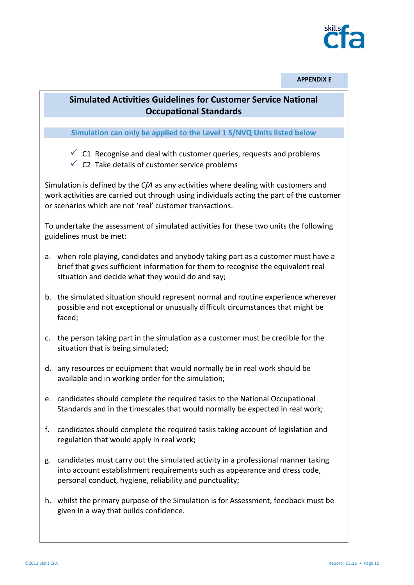

**APPENDIX E**

## **Simulated Activities Guidelines for Customer Service National Occupational Standards**

**Simulation can only be applied to the Level 1 S/NVQ Units listed below**

- $\checkmark$  C1 Recognise and deal with customer queries, requests and problems
- $\checkmark$  C2 Take details of customer service problems

Simulation is defined by the *CfA* as any activities where dealing with customers and work activities are carried out through using individuals acting the part of the customer or scenarios which are not 'real' customer transactions.

To undertake the assessment of simulated activities for these two units the following guidelines must be met:

- a. when role playing, candidates and anybody taking part as a customer must have a brief that gives sufficient information for them to recognise the equivalent real situation and decide what they would do and say;
- b. the simulated situation should represent normal and routine experience wherever possible and not exceptional or unusually difficult circumstances that might be faced;
- c. the person taking part in the simulation as a customer must be credible for the situation that is being simulated;
- d. any resources or equipment that would normally be in real work should be available and in working order for the simulation;
- e. candidates should complete the required tasks to the National Occupational Standards and in the timescales that would normally be expected in real work;
- f. candidates should complete the required tasks taking account of legislation and regulation that would apply in real work;
- g. candidates must carry out the simulated activity in a professional manner taking into account establishment requirements such as appearance and dress code, personal conduct, hygiene, reliability and punctuality;
- h. whilst the primary purpose of the Simulation is for Assessment, feedback must be given in a way that builds confidence.